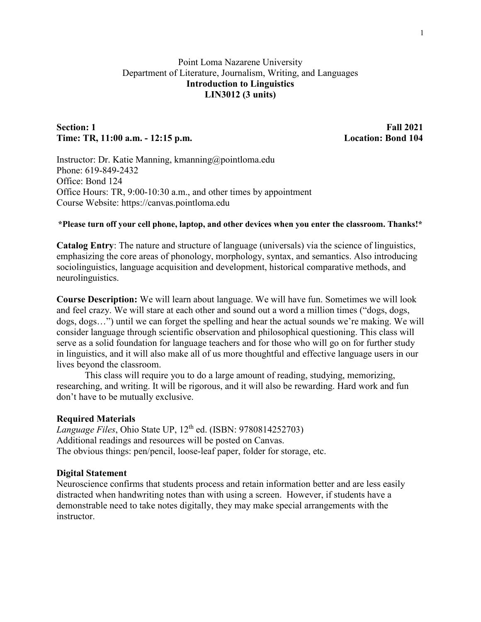# Point Loma Nazarene University Department of Literature, Journalism, Writing, and Languages **Introduction to Linguistics LIN3012 (3 units)**

# **Section: 1 Fall 2021 Time: TR, 11:00 a.m. - 12:15 p.m. Location: Bond 104**

Instructor: Dr. Katie Manning, kmanning@pointloma.edu Phone: 619-849-2432 Office: Bond 124 Office Hours: TR, 9:00-10:30 a.m., and other times by appointment Course Website: https://canvas.pointloma.edu

#### **\*Please turn off your cell phone, laptop, and other devices when you enter the classroom. Thanks!\***

**Catalog Entry**: The nature and structure of language (universals) via the science of linguistics, emphasizing the core areas of phonology, morphology, syntax, and semantics. Also introducing sociolinguistics, language acquisition and development, historical comparative methods, and neurolinguistics.

**Course Description:** We will learn about language. We will have fun. Sometimes we will look and feel crazy. We will stare at each other and sound out a word a million times ("dogs, dogs, dogs, dogs…") until we can forget the spelling and hear the actual sounds we're making. We will consider language through scientific observation and philosophical questioning. This class will serve as a solid foundation for language teachers and for those who will go on for further study in linguistics, and it will also make all of us more thoughtful and effective language users in our lives beyond the classroom.

This class will require you to do a large amount of reading, studying, memorizing, researching, and writing. It will be rigorous, and it will also be rewarding. Hard work and fun don't have to be mutually exclusive.

## **Required Materials**

*Language Files*, Ohio State UP, 12th ed. (ISBN: 9780814252703) Additional readings and resources will be posted on Canvas. The obvious things: pen/pencil, loose-leaf paper, folder for storage, etc.

#### **Digital Statement**

Neuroscience confirms that students process and retain information better and are less easily distracted when handwriting notes than with using a screen. However, if students have a demonstrable need to take notes digitally, they may make special arrangements with the instructor.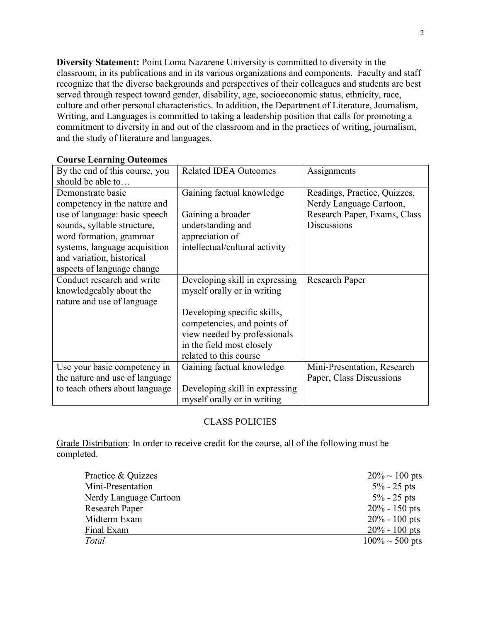**Diversity Statement:** Point Loma Nazarene University is committed to diversity in the classroom, in its publications and in its various organizations and components. Faculty and staff recognize that the diverse backgrounds and perspectives of their colleagues and students are best served through respect toward gender, disability, age, socioeconomic status, ethnicity, race, culture and other personal characteristics. In addition, the Department of Literature, Journalism, Writing, and Languages is committed to taking a leadership position that calls for promoting a commitment to diversity in and out of the classroom and in the practices of writing, journalism, and the study of literature and languages.

| By the end of this course, you | <b>Related IDEA Outcomes</b>   | Assignments                  |
|--------------------------------|--------------------------------|------------------------------|
| should be able to              |                                |                              |
| Demonstrate basic              | Gaining factual knowledge      | Readings, Practice, Quizzes, |
| competency in the nature and   |                                | Nerdy Language Cartoon,      |
| use of language: basic speech  | Gaining a broader              | Research Paper, Exams, Class |
| sounds, syllable structure,    | understanding and              | <b>Discussions</b>           |
| word formation, grammar        | appreciation of                |                              |
| systems, language acquisition  | intellectual/cultural activity |                              |
| and variation, historical      |                                |                              |
| aspects of language change     |                                |                              |
| Conduct research and write     | Developing skill in expressing | <b>Research Paper</b>        |
| knowledgeably about the        | myself orally or in writing    |                              |
| nature and use of language     |                                |                              |
|                                | Developing specific skills,    |                              |
|                                | competencies, and points of    |                              |
|                                | view needed by professionals   |                              |
|                                | in the field most closely      |                              |
|                                | related to this course         |                              |
| Use your basic competency in   | Gaining factual knowledge      | Mini-Presentation, Research  |
| the nature and use of language |                                | Paper, Class Discussions     |
| to teach others about language | Developing skill in expressing |                              |
|                                | myself orally or in writing    |                              |

## **Course Learning Outcomes**

## CLASS POLICIES

Grade Distribution: In order to receive credit for the course, all of the following must be completed.

| Practice & Quizzes     | $20\% \sim 100$ pts  |
|------------------------|----------------------|
| Mini-Presentation      | $5\% - 25$ pts       |
| Nerdy Language Cartoon | $5\% - 25$ pts       |
| <b>Research Paper</b>  | $20\% - 150$ pts     |
| Midterm Exam           | $20\% - 100$ pts     |
| Final Exam             | $20\% - 100$ pts     |
| Total                  | $100\% \sim 500$ pts |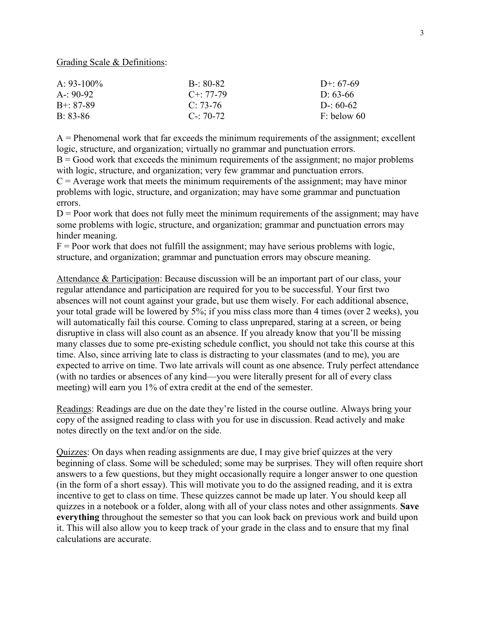Grading Scale & Definitions:

| A: $93-100\%$   | $B - 80 - 82$     | D+: $67-69$   |
|-----------------|-------------------|---------------|
| A-: 90-92       | $C_{\pm}$ : 77-79 | D: 63-66      |
| $B^{+}$ : 87-89 | $C: 73-76$        | D-: $60-62$   |
| $B: 83-86$      | $C = 70-72$       | $F:$ below 60 |

 $A =$  Phenomenal work that far exceeds the minimum requirements of the assignment; excellent logic, structure, and organization; virtually no grammar and punctuation errors.

 $B = Good$  work that exceeds the minimum requirements of the assignment; no major problems with logic, structure, and organization; very few grammar and punctuation errors.

 $C =$  Average work that meets the minimum requirements of the assignment; may have minor problems with logic, structure, and organization; may have some grammar and punctuation errors.

 $D =$  Poor work that does not fully meet the minimum requirements of the assignment; may have some problems with logic, structure, and organization; grammar and punctuation errors may hinder meaning.

 $F =$  Poor work that does not fulfill the assignment; may have serious problems with logic, structure, and organization; grammar and punctuation errors may obscure meaning.

Attendance & Participation: Because discussion will be an important part of our class, your regular attendance and participation are required for you to be successful. Your first two absences will not count against your grade, but use them wisely. For each additional absence, your total grade will be lowered by 5%; if you miss class more than 4 times (over 2 weeks), you will automatically fail this course. Coming to class unprepared, staring at a screen, or being disruptive in class will also count as an absence. If you already know that you'll be missing many classes due to some pre-existing schedule conflict, you should not take this course at this time. Also, since arriving late to class is distracting to your classmates (and to me), you are expected to arrive on time. Two late arrivals will count as one absence. Truly perfect attendance (with no tardies or absences of any kind—you were literally present for all of every class meeting) will earn you 1% of extra credit at the end of the semester.

Readings: Readings are due on the date they're listed in the course outline. Always bring your copy of the assigned reading to class with you for use in discussion. Read actively and make notes directly on the text and/or on the side.

Quizzes: On days when reading assignments are due, I may give brief quizzes at the very beginning of class. Some will be scheduled; some may be surprises. They will often require short answers to a few questions, but they might occasionally require a longer answer to one question (in the form of a short essay). This will motivate you to do the assigned reading, and it is extra incentive to get to class on time. These quizzes cannot be made up later. You should keep all quizzes in a notebook or a folder, along with all of your class notes and other assignments. **Save everything** throughout the semester so that you can look back on previous work and build upon it. This will also allow you to keep track of your grade in the class and to ensure that my final calculations are accurate.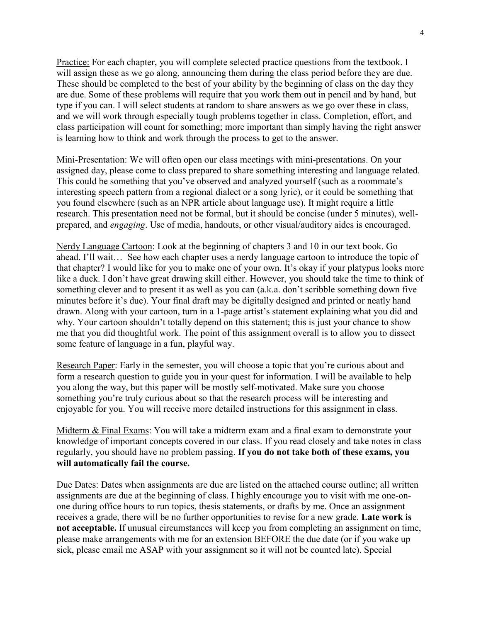Practice: For each chapter, you will complete selected practice questions from the textbook. I will assign these as we go along, announcing them during the class period before they are due. These should be completed to the best of your ability by the beginning of class on the day they are due. Some of these problems will require that you work them out in pencil and by hand, but type if you can. I will select students at random to share answers as we go over these in class, and we will work through especially tough problems together in class. Completion, effort, and class participation will count for something; more important than simply having the right answer is learning how to think and work through the process to get to the answer.

Mini-Presentation: We will often open our class meetings with mini-presentations. On your assigned day, please come to class prepared to share something interesting and language related. This could be something that you've observed and analyzed yourself (such as a roommate's interesting speech pattern from a regional dialect or a song lyric), or it could be something that you found elsewhere (such as an NPR article about language use). It might require a little research. This presentation need not be formal, but it should be concise (under 5 minutes), wellprepared, and *engaging*. Use of media, handouts, or other visual/auditory aides is encouraged.

Nerdy Language Cartoon: Look at the beginning of chapters 3 and 10 in our text book. Go ahead. I'll wait… See how each chapter uses a nerdy language cartoon to introduce the topic of that chapter? I would like for you to make one of your own. It's okay if your platypus looks more like a duck. I don't have great drawing skill either. However, you should take the time to think of something clever and to present it as well as you can (a.k.a. don't scribble something down five minutes before it's due). Your final draft may be digitally designed and printed or neatly hand drawn. Along with your cartoon, turn in a 1-page artist's statement explaining what you did and why. Your cartoon shouldn't totally depend on this statement; this is just your chance to show me that you did thoughtful work. The point of this assignment overall is to allow you to dissect some feature of language in a fun, playful way.

Research Paper: Early in the semester, you will choose a topic that you're curious about and form a research question to guide you in your quest for information. I will be available to help you along the way, but this paper will be mostly self-motivated. Make sure you choose something you're truly curious about so that the research process will be interesting and enjoyable for you. You will receive more detailed instructions for this assignment in class.

Midterm & Final Exams: You will take a midterm exam and a final exam to demonstrate your knowledge of important concepts covered in our class. If you read closely and take notes in class regularly, you should have no problem passing. **If you do not take both of these exams, you will automatically fail the course.**

Due Dates: Dates when assignments are due are listed on the attached course outline; all written assignments are due at the beginning of class. I highly encourage you to visit with me one-onone during office hours to run topics, thesis statements, or drafts by me. Once an assignment receives a grade, there will be no further opportunities to revise for a new grade. **Late work is not acceptable.** If unusual circumstances will keep you from completing an assignment on time, please make arrangements with me for an extension BEFORE the due date (or if you wake up sick, please email me ASAP with your assignment so it will not be counted late). Special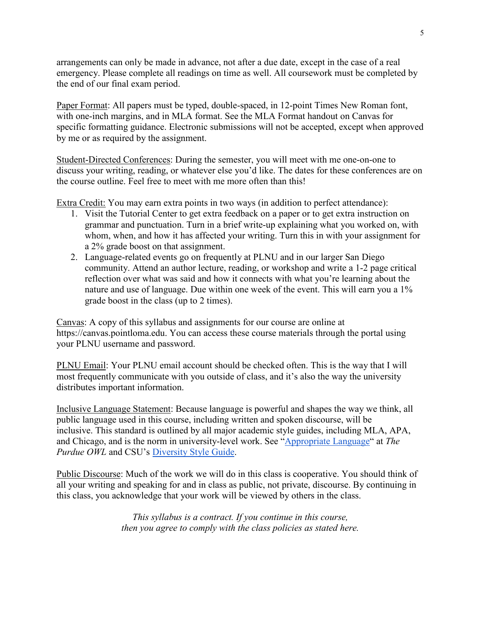arrangements can only be made in advance, not after a due date, except in the case of a real emergency. Please complete all readings on time as well. All coursework must be completed by the end of our final exam period.

Paper Format: All papers must be typed, double-spaced, in 12-point Times New Roman font, with one-inch margins, and in MLA format. See the MLA Format handout on Canvas for specific formatting guidance. Electronic submissions will not be accepted, except when approved by me or as required by the assignment.

Student-Directed Conferences: During the semester, you will meet with me one-on-one to discuss your writing, reading, or whatever else you'd like. The dates for these conferences are on the course outline. Feel free to meet with me more often than this!

Extra Credit: You may earn extra points in two ways (in addition to perfect attendance):

- 1. Visit the Tutorial Center to get extra feedback on a paper or to get extra instruction on grammar and punctuation. Turn in a brief write-up explaining what you worked on, with whom, when, and how it has affected your writing. Turn this in with your assignment for a 2% grade boost on that assignment.
- 2. Language-related events go on frequently at PLNU and in our larger San Diego community. Attend an author lecture, reading, or workshop and write a 1-2 page critical reflection over what was said and how it connects with what you're learning about the nature and use of language. Due within one week of the event. This will earn you a 1% grade boost in the class (up to 2 times).

Canvas: A copy of this syllabus and assignments for our course are online at https://canvas.pointloma.edu. You can access these course materials through the portal using your PLNU username and password.

PLNU Email: Your PLNU email account should be checked often. This is the way that I will most frequently communicate with you outside of class, and it's also the way the university distributes important information.

Inclusive Language Statement: Because language is powerful and shapes the way we think, all public language used in this course, including written and spoken discourse, will be inclusive. This standard is outlined by all major academic style guides, including MLA, APA, and Chicago, and is the norm in university-level work. See ["Appropriate Language"](https://owl.purdue.edu/owl/general_writing/academic_writing/using_appropriate_language/index.html) at *The Purdue OWL* and CSU's [Diversity Style Guide.](https://www2.calstate.edu/csu-system/csu-branding-standards/editorial-style-guide/Pages/diversity-style-guide.aspx)

Public Discourse: Much of the work we will do in this class is cooperative. You should think of all your writing and speaking for and in class as public, not private, discourse. By continuing in this class, you acknowledge that your work will be viewed by others in the class.

> *This syllabus is a contract. If you continue in this course, then you agree to comply with the class policies as stated here.*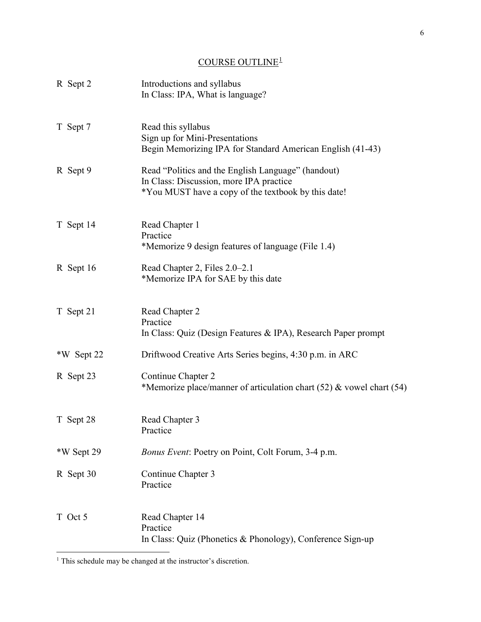# $\underline{\text{COUNSE OUTLINE}^1}$  $\underline{\text{COUNSE OUTLINE}^1}$  $\underline{\text{COUNSE OUTLINE}^1}$

| R Sept 2   | Introductions and syllabus<br>In Class: IPA, What is language?                                                                                       |
|------------|------------------------------------------------------------------------------------------------------------------------------------------------------|
| T Sept 7   | Read this syllabus<br>Sign up for Mini-Presentations<br>Begin Memorizing IPA for Standard American English (41-43)                                   |
| R Sept 9   | Read "Politics and the English Language" (handout)<br>In Class: Discussion, more IPA practice<br>*You MUST have a copy of the textbook by this date! |
| T Sept 14  | Read Chapter 1<br>Practice<br>*Memorize 9 design features of language (File 1.4)                                                                     |
| R Sept 16  | Read Chapter 2, Files 2.0–2.1<br>*Memorize IPA for SAE by this date                                                                                  |
| T Sept 21  | Read Chapter 2<br>Practice<br>In Class: Quiz (Design Features & IPA), Research Paper prompt                                                          |
| *W Sept 22 | Driftwood Creative Arts Series begins, 4:30 p.m. in ARC                                                                                              |
| R Sept 23  | Continue Chapter 2<br>*Memorize place/manner of articulation chart (52) & vowel chart (54)                                                           |
| T Sept 28  | Read Chapter 3<br>Practice                                                                                                                           |
| *W Sept 29 | Bonus Event: Poetry on Point, Colt Forum, 3-4 p.m.                                                                                                   |
| R Sept 30  | Continue Chapter 3<br>Practice                                                                                                                       |
| T Oct 5    | Read Chapter 14<br>Practice<br>In Class: Quiz (Phonetics & Phonology), Conference Sign-up                                                            |

 $\overline{a}$ 

<span id="page-5-0"></span> $<sup>1</sup>$  This schedule may be changed at the instructor's discretion.</sup>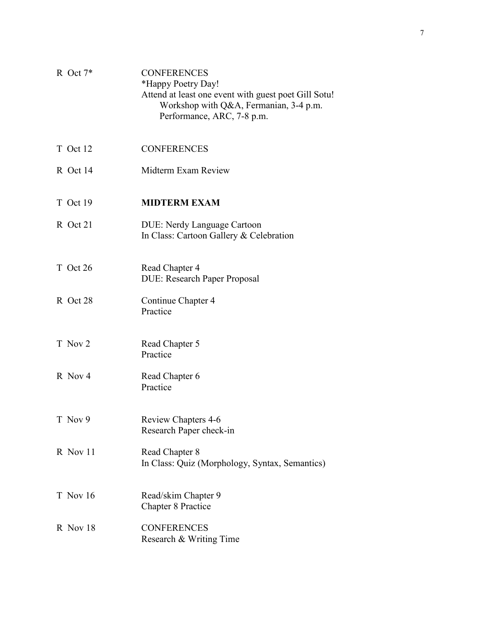| R Oct $7*$ | <b>CONFERENCES</b><br>*Happy Poetry Day!<br>Attend at least one event with guest poet Gill Sotu!<br>Workshop with Q&A, Fermanian, 3-4 p.m.<br>Performance, ARC, 7-8 p.m. |
|------------|--------------------------------------------------------------------------------------------------------------------------------------------------------------------------|
| T Oct 12   | <b>CONFERENCES</b>                                                                                                                                                       |
| R Oct 14   | Midterm Exam Review                                                                                                                                                      |
| T Oct 19   | <b>MIDTERM EXAM</b>                                                                                                                                                      |
| R Oct 21   | <b>DUE: Nerdy Language Cartoon</b><br>In Class: Cartoon Gallery & Celebration                                                                                            |
| T Oct 26   | Read Chapter 4<br><b>DUE: Research Paper Proposal</b>                                                                                                                    |
| R Oct 28   | Continue Chapter 4<br>Practice                                                                                                                                           |
| T Nov 2    | Read Chapter 5<br>Practice                                                                                                                                               |
| R Nov 4    | Read Chapter 6<br>Practice                                                                                                                                               |
| T Nov 9    | <b>Review Chapters 4-6</b><br>Research Paper check-in                                                                                                                    |
| R Nov 11   | Read Chapter 8<br>In Class: Quiz (Morphology, Syntax, Semantics)                                                                                                         |
| T Nov 16   | Read/skim Chapter 9<br><b>Chapter 8 Practice</b>                                                                                                                         |
| R Nov 18   | <b>CONFERENCES</b><br>Research & Writing Time                                                                                                                            |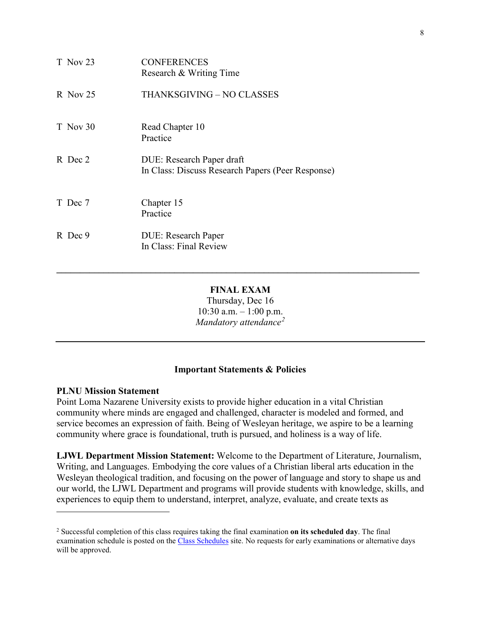| T Nov 23   | <b>CONFERENCES</b><br>Research & Writing Time                                  |
|------------|--------------------------------------------------------------------------------|
| $R$ Nov 25 | THANKSGIVING – NO CLASSES                                                      |
| T Nov 30   | Read Chapter 10<br>Practice                                                    |
| R Dec 2    | DUE: Research Paper draft<br>In Class: Discuss Research Papers (Peer Response) |
| T Dec 7    | Chapter 15<br>Practice                                                         |
| R Dec 9    | <b>DUE: Research Paper</b><br>In Class: Final Review                           |

**FINAL EXAM** Thursday, Dec 16  $10:30$  a.m.  $-1:00$  p.m. *Mandatory attendance[2](#page-7-0)*

**\_\_\_\_\_\_\_\_\_\_\_\_\_\_\_\_\_\_\_\_\_\_\_\_\_\_\_\_\_\_\_\_\_\_\_\_\_\_\_\_\_\_\_\_\_\_\_\_\_\_\_\_\_\_\_\_\_\_\_\_\_\_\_\_\_\_\_\_\_\_\_\_\_\_\_\_\_**

# **Important Statements & Policies**

## **PLNU Mission Statement**

 $\overline{a}$ 

Point Loma Nazarene University exists to provide higher education in a vital Christian community where minds are engaged and challenged, character is modeled and formed, and service becomes an expression of faith. Being of Wesleyan heritage, we aspire to be a learning community where grace is foundational, truth is pursued, and holiness is a way of life.

**LJWL Department Mission Statement:** Welcome to the Department of Literature, Journalism, Writing, and Languages. Embodying the core values of a Christian liberal arts education in the Wesleyan theological tradition, and focusing on the power of language and story to shape us and our world, the LJWL Department and programs will provide students with knowledge, skills, and experiences to equip them to understand, interpret, analyze, evaluate, and create texts as

<span id="page-7-0"></span><sup>2</sup> Successful completion of this class requires taking the final examination **on its scheduled day**. The final examination schedule is posted on the [Class Schedules](http://www.pointloma.edu/experience/academics/class-schedules) site. No requests for early examinations or alternative days will be approved.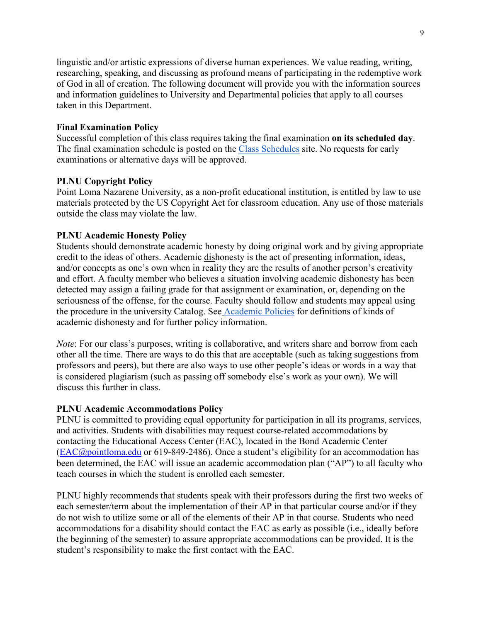linguistic and/or artistic expressions of diverse human experiences. We value reading, writing, researching, speaking, and discussing as profound means of participating in the redemptive work of God in all of creation. The following document will provide you with the information sources and information guidelines to University and Departmental policies that apply to all courses taken in this Department.

## **Final Examination Policy**

Successful completion of this class requires taking the final examination **on its scheduled day**. The final examination schedule is posted on the [Class Schedules](http://www.pointloma.edu/experience/academics/class-schedules) site. No requests for early examinations or alternative days will be approved.

## **PLNU Copyright Policy**

Point Loma Nazarene University, as a non-profit educational institution, is entitled by law to use materials protected by the US Copyright Act for classroom education. Any use of those materials outside the class may violate the law.

## **PLNU Academic Honesty Policy**

Students should demonstrate academic honesty by doing original work and by giving appropriate credit to the ideas of others. Academic dishonesty is the act of presenting information, ideas, and/or concepts as one's own when in reality they are the results of another person's creativity and effort. A faculty member who believes a situation involving academic dishonesty has been detected may assign a failing grade for that assignment or examination, or, depending on the seriousness of the offense, for the course. Faculty should follow and students may appeal using the procedure in the university Catalog. See [Academic Policies](http://catalog.pointloma.edu/content.php?catoid=18&navoid=1278) for definitions of kinds of academic dishonesty and for further policy information.

*Note*: For our class's purposes, writing is collaborative, and writers share and borrow from each other all the time. There are ways to do this that are acceptable (such as taking suggestions from professors and peers), but there are also ways to use other people's ideas or words in a way that is considered plagiarism (such as passing off somebody else's work as your own). We will discuss this further in class.

## **PLNU Academic Accommodations Policy**

PLNU is committed to providing equal opportunity for participation in all its programs, services, and activities. Students with disabilities may request course-related accommodations by contacting the Educational Access Center (EAC), located in the Bond Academic Center [\(EAC@pointloma.edu](mailto:EAC@pointloma.edu) or 619-849-2486). Once a student's eligibility for an accommodation has been determined, the EAC will issue an academic accommodation plan ("AP") to all faculty who teach courses in which the student is enrolled each semester.

PLNU highly recommends that students speak with their professors during the first two weeks of each semester/term about the implementation of their AP in that particular course and/or if they do not wish to utilize some or all of the elements of their AP in that course. Students who need accommodations for a disability should contact the EAC as early as possible (i.e., ideally before the beginning of the semester) to assure appropriate accommodations can be provided. It is the student's responsibility to make the first contact with the EAC.